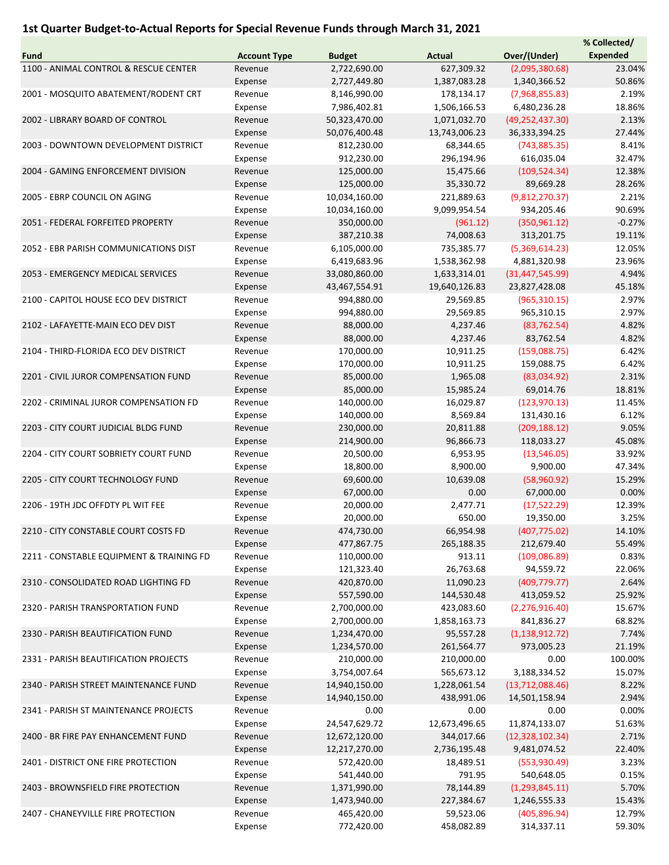## 1st Quarter Budget-to-Actual Reports for Special Revenue Funds through March 31, 2021

|                                          |                     |               |               |                   | % Collected/    |
|------------------------------------------|---------------------|---------------|---------------|-------------------|-----------------|
| <b>Fund</b>                              | <b>Account Type</b> | <b>Budget</b> | <b>Actual</b> | Over/(Under)      | <b>Expended</b> |
| 1100 - ANIMAL CONTROL & RESCUE CENTER    | Revenue             | 2,722,690.00  | 627,309.32    | (2,095,380.68)    | 23.04%          |
|                                          | Expense             | 2,727,449.80  | 1,387,083.28  | 1,340,366.52      | 50.86%          |
| 2001 - MOSQUITO ABATEMENT/RODENT CRT     | Revenue             | 8,146,990.00  | 178,134.17    | (7,968,855.83)    | 2.19%           |
|                                          | Expense             | 7,986,402.81  | 1,506,166.53  | 6,480,236.28      | 18.86%          |
| 2002 - LIBRARY BOARD OF CONTROL          | Revenue             | 50,323,470.00 | 1,071,032.70  | (49, 252, 437.30) | 2.13%           |
|                                          | Expense             | 50,076,400.48 | 13,743,006.23 | 36,333,394.25     | 27.44%          |
|                                          |                     |               |               |                   |                 |
| 2003 - DOWNTOWN DEVELOPMENT DISTRICT     | Revenue             | 812,230.00    | 68,344.65     | (743,885.35)      | 8.41%           |
|                                          | Expense             | 912,230.00    | 296,194.96    | 616,035.04        | 32.47%          |
| 2004 - GAMING ENFORCEMENT DIVISION       | Revenue             | 125,000.00    | 15,475.66     | (109, 524.34)     | 12.38%          |
|                                          | Expense             | 125,000.00    | 35,330.72     | 89,669.28         | 28.26%          |
| 2005 - EBRP COUNCIL ON AGING             | Revenue             | 10,034,160.00 | 221,889.63    | (9,812,270.37)    | 2.21%           |
|                                          | Expense             | 10,034,160.00 | 9,099,954.54  | 934,205.46        | 90.69%          |
| 2051 - FEDERAL FORFEITED PROPERTY        | Revenue             | 350,000.00    | (961.12)      | (350, 961.12)     | $-0.27%$        |
|                                          | Expense             | 387,210.38    | 74,008.63     | 313,201.75        | 19.11%          |
| 2052 - EBR PARISH COMMUNICATIONS DIST    | Revenue             | 6,105,000.00  | 735,385.77    | (5,369,614.23)    | 12.05%          |
|                                          | Expense             | 6,419,683.96  | 1,538,362.98  | 4,881,320.98      | 23.96%          |
| 2053 - EMERGENCY MEDICAL SERVICES        | Revenue             | 33,080,860.00 | 1,633,314.01  | (31, 447, 545.99) | 4.94%           |
|                                          | Expense             | 43,467,554.91 | 19,640,126.83 | 23,827,428.08     | 45.18%          |
| 2100 - CAPITOL HOUSE ECO DEV DISTRICT    | Revenue             | 994,880.00    | 29,569.85     | (965, 310.15)     | 2.97%           |
|                                          | Expense             | 994,880.00    | 29,569.85     | 965,310.15        | 2.97%           |
| 2102 - LAFAYETTE-MAIN ECO DEV DIST       | Revenue             | 88,000.00     | 4,237.46      | (83, 762.54)      | 4.82%           |
|                                          |                     |               |               | 83,762.54         | 4.82%           |
|                                          | Expense             | 88,000.00     | 4,237.46      |                   |                 |
| 2104 - THIRD-FLORIDA ECO DEV DISTRICT    | Revenue             | 170,000.00    | 10,911.25     | (159,088.75)      | 6.42%           |
|                                          | Expense             | 170,000.00    | 10,911.25     | 159,088.75        | 6.42%           |
| 2201 - CIVIL JUROR COMPENSATION FUND     | Revenue             | 85,000.00     | 1,965.08      | (83,034.92)       | 2.31%           |
|                                          | Expense             | 85,000.00     | 15,985.24     | 69,014.76         | 18.81%          |
| 2202 - CRIMINAL JUROR COMPENSATION FD    | Revenue             | 140,000.00    | 16,029.87     | (123, 970.13)     | 11.45%          |
|                                          | Expense             | 140,000.00    | 8,569.84      | 131,430.16        | 6.12%           |
| 2203 - CITY COURT JUDICIAL BLDG FUND     | Revenue             | 230,000.00    | 20,811.88     | (209, 188.12)     | 9.05%           |
|                                          | Expense             | 214,900.00    | 96,866.73     | 118,033.27        | 45.08%          |
| 2204 - CITY COURT SOBRIETY COURT FUND    | Revenue             | 20,500.00     | 6,953.95      | (13,546.05)       | 33.92%          |
|                                          | Expense             | 18,800.00     | 8,900.00      | 9,900.00          | 47.34%          |
| 2205 - CITY COURT TECHNOLOGY FUND        | Revenue             | 69,600.00     | 10,639.08     | (58,960.92)       | 15.29%          |
|                                          | Expense             | 67,000.00     | 0.00          | 67,000.00         | 0.00%           |
| 2206 - 19TH JDC OFFDTY PL WIT FEE        | Revenue             | 20,000.00     | 2,477.71      | (17,522.29)       | 12.39%          |
|                                          | Expense             | 20,000.00     | 650.00        | 19,350.00         | 3.25%           |
| 2210 - CITY CONSTABLE COURT COSTS FD     | Revenue             | 474,730.00    | 66,954.98     | (407, 775.02)     | 14.10%          |
|                                          | Expense             | 477,867.75    | 265,188.35    | 212,679.40        | 55.49%          |
| 2211 - CONSTABLE EQUIPMENT & TRAINING FD | Revenue             | 110,000.00    | 913.11        | (109,086.89)      | 0.83%           |
|                                          |                     |               | 26,763.68     |                   | 22.06%          |
|                                          | Expense             | 121,323.40    |               | 94,559.72         |                 |
| 2310 - CONSOLIDATED ROAD LIGHTING FD     | Revenue             | 420,870.00    | 11,090.23     | (409, 779.77)     | 2.64%           |
|                                          | Expense             | 557,590.00    | 144,530.48    | 413,059.52        | 25.92%          |
| 2320 - PARISH TRANSPORTATION FUND        | Revenue             | 2,700,000.00  | 423,083.60    | (2,276,916.40)    | 15.67%          |
|                                          | Expense             | 2,700,000.00  | 1,858,163.73  | 841,836.27        | 68.82%          |
| 2330 - PARISH BEAUTIFICATION FUND        | Revenue             | 1,234,470.00  | 95,557.28     | (1, 138, 912.72)  | 7.74%           |
|                                          | Expense             | 1,234,570.00  | 261,564.77    | 973,005.23        | 21.19%          |
| 2331 - PARISH BEAUTIFICATION PROJECTS    | Revenue             | 210,000.00    | 210,000.00    | 0.00              | 100.00%         |
|                                          | Expense             | 3,754,007.64  | 565,673.12    | 3,188,334.52      | 15.07%          |
| 2340 - PARISH STREET MAINTENANCE FUND    | Revenue             | 14,940,150.00 | 1,228,061.54  | (13,712,088.46)   | 8.22%           |
|                                          | Expense             | 14,940,150.00 | 438,991.06    | 14,501,158.94     | 2.94%           |
| 2341 - PARISH ST MAINTENANCE PROJECTS    | Revenue             | 0.00          | 0.00          | 0.00              | 0.00%           |
|                                          | Expense             | 24,547,629.72 | 12,673,496.65 | 11,874,133.07     | 51.63%          |
| 2400 - BR FIRE PAY ENHANCEMENT FUND      | Revenue             | 12,672,120.00 | 344,017.66    | (12, 328, 102.34) | 2.71%           |
|                                          | Expense             | 12,217,270.00 | 2,736,195.48  | 9,481,074.52      | 22.40%          |
| 2401 - DISTRICT ONE FIRE PROTECTION      | Revenue             | 572,420.00    | 18,489.51     | (553, 930.49)     | 3.23%           |
|                                          | Expense             | 541,440.00    | 791.95        | 540,648.05        | 0.15%           |
| 2403 - BROWNSFIELD FIRE PROTECTION       | Revenue             | 1,371,990.00  | 78,144.89     | (1,293,845.11)    | 5.70%           |
|                                          |                     |               |               |                   |                 |
|                                          | Expense             | 1,473,940.00  | 227,384.67    | 1,246,555.33      | 15.43%          |
| 2407 - CHANEYVILLE FIRE PROTECTION       | Revenue             | 465,420.00    | 59,523.06     | (405,896.94)      | 12.79%          |
|                                          | Expense             | 772,420.00    | 458,082.89    | 314,337.11        | 59.30%          |